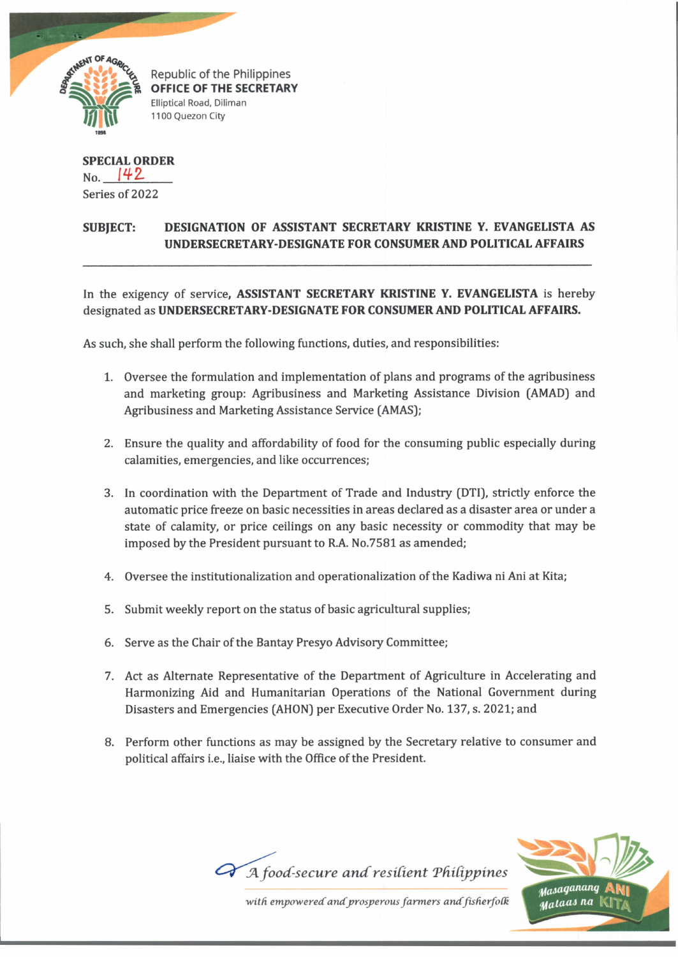

Republic of the Philippines OFFICE OF THE SECRETARY Elliptical Road, Diliman 1100 Quezon City

**SPECIAL ORDER**  $_{\text{No.}}$  142 Series of 2022

## **SUBJECT: DESIGNATION OF ASSISTANT SECRETARY KRISTINE Y. EVANGELISTA AS UNDERSECRETARY-DESIGNATE FOR CONSUMER AND POLITICAL AFFAIRS**

In the exigency of service, **ASSISTANT SECRETARY KRISTINE Y. EVANGELISTA** is hereby designated as **UNDERSECRETARY-DESIGNATE FOR CONSUMER AND POLITICAL AFFAIRS.**

As such, she shall perform the following functions, duties, and responsibilities:

- 1. Oversee the formulation and implementation of plans and programs of the agribusiness and marketing group: Agribusiness and Marketing Assistance Division (AMAD) and Agribusiness and Marketing Assistance Service (AMAS);
- 2. Ensure the quality and affordability of food for the consuming public especially during calamities, emergencies, and like occurrences;
- 3. In coordination with the Department of Trade and Industry (DTI), strictly enforce the automatic price freeze on basic necessities in areas declared as a disaster area or under a state of calamity, or price ceilings on any basic necessity or commodity that may be imposed by the President pursuant to R.A. No.7581 as amended;
- 4. Oversee the institutionalization and operationalization of the Kadiwa ni Ani at Kita;
- 5. Submit weekly report on the status of basic agricultural supplies;
- 6. Serve as the Chair of the Bantay Presyo Advisory Committee;
- 7. Act as Alternate Representative of the Department of Agriculture in Accelerating and Harmonizing Aid and Humanitarian Operations of the National Government during Disasters and Emergencies (AHON) per Executive Order No. 137, s. 2021; and
- 8. Perform other functions as may be assigned by the Secretary relative to consumer and political affairs i.e., liaise with the Office of the President.



with empowered and prosperous farmers and fisherfolk

A food-secure and resilient Philippines